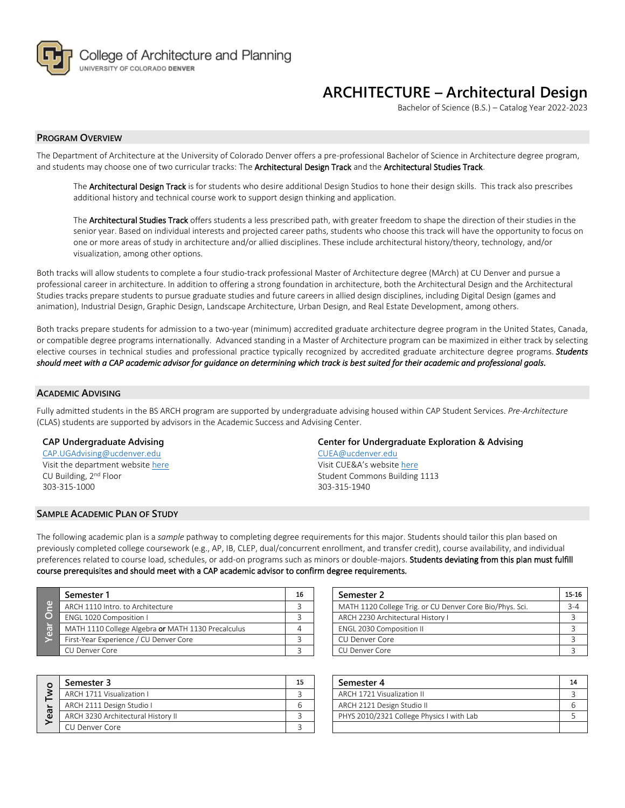

## **ARCHITECTURE – Architectural Design**

Bachelor of Science (B.S.) – Catalog Year 2022-2023

## **PROGRAM OVERVIEW**

The Department of Architecture at the University of Colorado Denver offers a pre-professional Bachelor of Science in Architecture degree program, and students may choose one of two curricular tracks: The Architectural Design Track and the Architectural Studies Track.

The **Architectural Design Track** is for students who desire additional Design Studios to hone their design skills. This track also prescribes additional history and technical course work to support design thinking and application.

The Architectural Studies Track offers students a less prescribed path, with greater freedom to shape the direction of their studies in the senior year. Based on individual interests and projected career paths, students who choose this track will have the opportunity to focus on one or more areas of study in architecture and/or allied disciplines. These include architectural history/theory, technology, and/or visualization, among other options.

Both tracks will allow students to complete a four studio-track professional Master of Architecture degree (MArch) at CU Denver and pursue a professional career in architecture. In addition to offering a strong foundation in architecture, both the Architectural Design and the Architectural Studies tracks prepare students to pursue graduate studies and future careers in allied design disciplines, including Digital Design (games and animation), Industrial Design, Graphic Design, Landscape Architecture, Urban Design, and Real Estate Development, among others.

Both tracks prepare students for admission to a two-year (minimum) accredited graduate architecture degree program in the United States, Canada, or compatible degree programs internationally. Advanced standing in a Master of Architecture program can be maximized in either track by selecting elective courses in technical studies and professional practice typically recognized by accredited graduate architecture degree programs. *Students should meet with a CAP academic advisor for guidance on determining which track is best suited for their academic and professional goals.* 

### **ACADEMIC ADVISING**

Fully admitted students in the BS ARCH program are supported by undergraduate advising housed within CAP Student Services. *Pre-Architecture* (CLAS) students are supported by advisors in the Academic Success and Advising Center.

## **CAP Undergraduate Advising**

[CAP.UGAdvising@ucdenver.edu](mailto:CAP.UGAdvising@ucdenver.edu) Visit the department website [here](http://www.ucdenver.edu/academics/colleges/ArchitecturePlanning/Academics/DegreePrograms/BSArch/Pages/BSArch.aspx) CU Building, 2nd Floor 303-315-1000

#### **SAMPLE ACADEMIC PLAN OF STUDY**

**Center for Undergraduate Exploration & Advising** [CUEA@ucdenver.edu](mailto:CUEA@ucdenver.edu)

Visit CUE&A's website [here](http://www.ucdenver.edu/life/services/asac/Pages/default.aspx) Student Commons Building 1113 303-315-1940

The following academic plan is a *sample* pathway to completing degree requirements for this major. Students should tailor this plan based on previously completed college coursework (e.g., AP, IB, CLEP, dual/concurrent enrollment, and transfer credit), course availability, and individual preferences related to course load, schedules, or add-on programs such as minors or double-majors. Students deviating from this plan must fulfill course prerequisites and should meet with a CAP academic advisor to confirm degree requirements.

|     | Semester 1                                         | 16 | Semester 2                                               | $15 -$ |
|-----|----------------------------------------------------|----|----------------------------------------------------------|--------|
| GD) | ARCH 1110 Intro. to Architecture                   |    | MATH 1120 College Trig. or CU Denver Core Bio/Phys. Sci. | $3-$   |
|     | ENGL 1020 Composition I                            |    | ARCH 2230 Architectural History I                        |        |
|     | MATH 1110 College Algebra or MATH 1130 Precalculus |    | ENGL 2030 Composition II                                 |        |
|     | First-Year Experience / CU Denver Core             |    | CU Denver Core                                           |        |
|     | CU Denver Core                                     |    | CU Denver Core                                           |        |

|        | Semester 3                         | 15 | Semester 4                                | 1 <sup>1</sup> |
|--------|------------------------------------|----|-------------------------------------------|----------------|
|        | ARCH 1711 Visualization I          |    | ARCH 1721 Visualization II                |                |
|        | ARCH 2111 Design Studio I          |    | ARCH 2121 Design Studio II                |                |
| ത<br>ω | ARCH 3230 Architectural History II |    | PHYS 2010/2321 College Physics I with Lab |                |
|        | CU Denver Core                     |    |                                           |                |

| Semester 1                                         |  | Semester 2                                               | $15-16$ |
|----------------------------------------------------|--|----------------------------------------------------------|---------|
| ARCH 1110 Intro. to Architecture                   |  | MATH 1120 College Trig. or CU Denver Core Bio/Phys. Sci. | $3 - 4$ |
| ENGL 1020 Composition I                            |  | ARCH 2230 Architectural History I                        |         |
| MATH 1110 College Algebra or MATH 1130 Precalculus |  | <b>ENGL 2030 Composition II</b>                          |         |
| First-Year Experience / CU Denver Core             |  | CU Denver Core                                           |         |
| CU Denver Core                                     |  | CU Denver Core                                           |         |

| Semester 3                         | 15 | Semester 4                                |  |
|------------------------------------|----|-------------------------------------------|--|
| ARCH 1711 Visualization L          |    | ARCH 1721 Visualization II                |  |
| ARCH 2111 Design Studio I          |    | ARCH 2121 Design Studio II                |  |
| ARCH 3230 Architectural History II |    | PHYS 2010/2321 College Physics I with Lab |  |
| $\sim$ $\sim$ $\sim$               |    |                                           |  |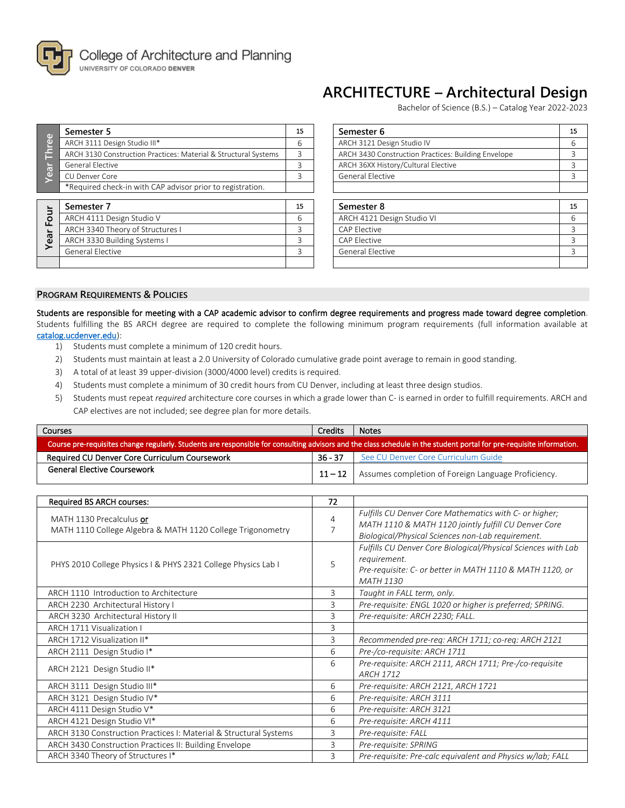

# **ARCHITECTURE – Architectural Design**

Bachelor of Science (B.S.) – Catalog Year 2022-2023

| $\omega$                | Semester 5                                                      | 15 | Semester 6                                          | 15 |
|-------------------------|-----------------------------------------------------------------|----|-----------------------------------------------------|----|
| <u>je</u>               | ARCH 3111 Design Studio III*                                    | 6  | ARCH 3121 Design Studio IV                          | 6  |
|                         | ARCH 3130 Construction Practices: Material & Structural Systems | 3  | ARCH 3430 Construction Practices: Building Envelope | 3  |
|                         | General Elective                                                | 3  | ARCH 36XX History/Cultural Elective                 | 3  |
| <b>ear</b>              | CU Denver Core                                                  | ς  | General Elective                                    | 3  |
|                         | *Required check-in with CAP advisor prior to registration.      |    |                                                     |    |
|                         |                                                                 |    |                                                     |    |
|                         | Semester 7                                                      | 15 | Semester 8                                          | 15 |
| $\overline{\mathsf{c}}$ | ARCH 4111 Design Studio V                                       | 6  | ARCH 4121 Design Studio VI                          | 6  |
| щ                       | ARCH 3340 Theory of Structures I                                | ς  | <b>CAP Elective</b>                                 | 3  |
|                         | ARCH 3330 Building Systems I                                    | 3  | <b>CAP Elective</b>                                 | 3  |
| Yea                     | General Elective                                                | ς  | <b>General Elective</b>                             | 3  |

| Semester 5                                                      | 15 | Semester 6                                          | 15 |
|-----------------------------------------------------------------|----|-----------------------------------------------------|----|
| ARCH 3111 Design Studio III*                                    | 6  | ARCH 3121 Design Studio IV                          | 6  |
| ARCH 3130 Construction Practices: Material & Structural Systems | 3  | ARCH 3430 Construction Practices: Building Envelope | 3  |
| General Flective                                                | 3  | ARCH 36XX History/Cultural Elective                 | 3  |
| CU Denver Core                                                  | ς  | <b>General Elective</b>                             | 3  |
| *Required check-in with CAP advisor prior to registration.      |    |                                                     |    |
| Semester 7                                                      | 15 | Semester 8                                          | 15 |
| ARCH 4111 Design Studio V                                       | 6  | ARCH 4121 Design Studio VI                          | 6  |
| ARCH 3340 Theory of Structures I                                | 3  | <b>CAP Elective</b>                                 | 3  |
| ARCH 3330 Building Systems I                                    | ς  | CAP Elective                                        | ς  |
| General Elective                                                | ς  | <b>General Elective</b>                             | 3  |
|                                                                 |    |                                                     |    |

## **PROGRAM REQUIREMENTS & POLICIES**

Students are responsible for meeting with a CAP academic advisor to confirm degree requirements and progress made toward degree completion. Students fulfilling the BS ARCH degree are required to complete the following minimum program requirements (full information available at [catalog.ucdenver.edu\)](http://catalog.ucdenver.edu/preview_program.php?catoid=22&poid=6492&returnto=6002):

- 1) Students must complete a minimum of 120 credit hours.
- 2) Students must maintain at least a 2.0 University of Colorado cumulative grade point average to remain in good standing.
- 3) A total of at least 39 upper-division (3000/4000 level) credits is required.
- 4) Students must complete a minimum of 30 credit hours from CU Denver, including at least three design studios.
- 5) Students must repeat *required* architecture core courses in which a grade lower than C- is earned in order to fulfill requirements. ARCH and CAP electives are not included; see degree plan for more details.

| <b>Credits</b><br><b>Courses</b>                                                                                                                                     |         | <b>Notes</b>                                                       |  |  |  |
|----------------------------------------------------------------------------------------------------------------------------------------------------------------------|---------|--------------------------------------------------------------------|--|--|--|
| Course pre-requisites change regularly. Students are responsible for consulting advisors and the class schedule in the student portal for pre-requisite information. |         |                                                                    |  |  |  |
| Required CU Denver Core Curriculum Coursework                                                                                                                        | 36 - 37 | See CU Denver Core Curriculum Guide                                |  |  |  |
| <b>General Elective Coursework</b>                                                                                                                                   |         | <b>11 – 12</b> Assumes completion of Foreign Language Proficiency. |  |  |  |

| <b>Required BS ARCH courses:</b>                                                       | 72 |                                                                                                                                                                     |
|----------------------------------------------------------------------------------------|----|---------------------------------------------------------------------------------------------------------------------------------------------------------------------|
| MATH 1130 Precalculus or<br>MATH 1110 College Algebra & MATH 1120 College Trigonometry | 4  | Fulfills CU Denver Core Mathematics with C- or higher;<br>MATH 1110 & MATH 1120 jointly fulfill CU Denver Core<br>Biological/Physical Sciences non-Lab requirement. |
| PHYS 2010 College Physics I & PHYS 2321 College Physics Lab I                          | 5  | Fulfills CU Denver Core Biological/Physical Sciences with Lab<br>requirement.<br>Pre-requisite: C- or better in MATH 1110 & MATH 1120, or<br><b>MATH 1130</b>       |
| ARCH 1110 Introduction to Architecture                                                 | 3  | Taught in FALL term, only.                                                                                                                                          |
| ARCH 2230 Architectural History I                                                      | 3  | Pre-requisite: ENGL 1020 or higher is preferred; SPRING.                                                                                                            |
| ARCH 3230 Architectural History II                                                     | 3  | Pre-requisite: ARCH 2230; FALL.                                                                                                                                     |
| ARCH 1711 Visualization I                                                              | 3  |                                                                                                                                                                     |
| ARCH 1712 Visualization II*                                                            | 3  | Recommended pre-req: ARCH 1711; co-req: ARCH 2121                                                                                                                   |
| ARCH 2111 Design Studio I*                                                             | 6  | Pre-/co-requisite: ARCH 1711                                                                                                                                        |
| ARCH 2121 Design Studio II*                                                            | 6  | Pre-requisite: ARCH 2111, ARCH 1711; Pre-/co-requisite<br><b>ARCH 1712</b>                                                                                          |
| ARCH 3111 Design Studio III*                                                           | 6  | Pre-requisite: ARCH 2121, ARCH 1721                                                                                                                                 |
| ARCH 3121 Design Studio IV*                                                            | 6  | Pre-requisite: ARCH 3111                                                                                                                                            |
| ARCH 4111 Design Studio V*                                                             | 6  | Pre-requisite: ARCH 3121                                                                                                                                            |
| ARCH 4121 Design Studio VI*                                                            | 6  | Pre-requisite: ARCH 4111                                                                                                                                            |
| ARCH 3130 Construction Practices I: Material & Structural Systems                      | 3  | Pre-requisite: FALL                                                                                                                                                 |
| ARCH 3430 Construction Practices II: Building Envelope                                 | 3  | Pre-requisite: SPRING                                                                                                                                               |
| ARCH 3340 Theory of Structures I*                                                      | 3  | Pre-requisite: Pre-calc equivalent and Physics w/lab; FALL                                                                                                          |